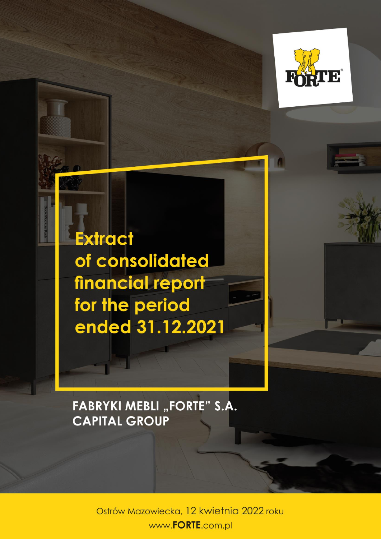

**Extract** of consolidated financial report for the period ended 31.12.2021

**FABRYKI MEBLI "FORTE" S.A. CAPITAL GROUP** 

> Ostrów Mazowiecka, 12 kwietnia 2022 roku www.FORTE.com.pl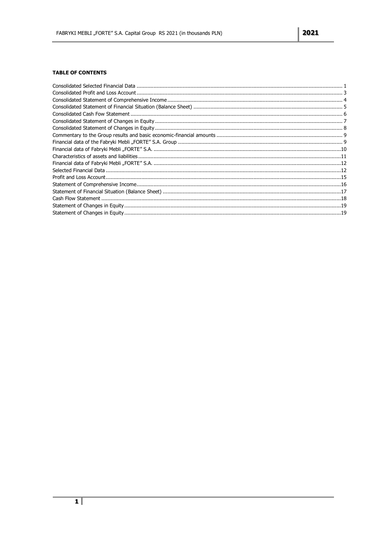### **TABLE OF CONTENTS**

<span id="page-1-0"></span>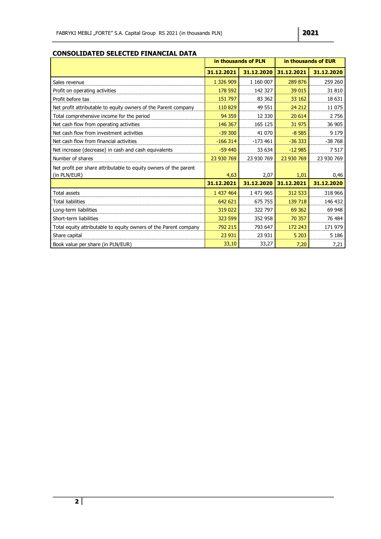### **CONSOLIDATED SELECTED FINANCIAL DATA**

|                                                                  |            | in thousands of PLN | in thousands of EUR |            |
|------------------------------------------------------------------|------------|---------------------|---------------------|------------|
|                                                                  | 31.12.2021 | 31.12.2020          | 31.12.2021          | 31.12.2020 |
| Sales revenue                                                    | 1 326 909  | 1 160 007           | 289 876             | 259 260    |
| Profit on operating activities                                   | 178 592    | 142 327             | 39 015              | 31 810     |
| Profit before tax                                                | 151 797    | 83 362              | 33 162              | 18 631     |
| Net profit attributable to equity owners of the Parent company   | 110 829    | 49 551              | 24 212              | 11 075     |
| Total comprehensive income for the period                        | 94 359     | 12 3 30             | 20 614              | 2756       |
| Net cash flow from operating activities                          | 146 367    | 165 125             | 31 975              | 36 905     |
| Net cash flow from investment activities                         | $-39300$   | 41 070              | $-8585$             | 9 1 7 9    |
| Net cash flow from financial activities                          | $-166314$  | $-173461$           | $-36333$            | $-38768$   |
| Net increase (decrease) in cash and cash equivalents             | $-59$ 440  | 33 634              | $-12985$            | 7517       |
| Number of shares                                                 | 23 930 769 | 23 930 769          | 23 930 769          | 23 930 769 |
| Net profit per share attributable to equity owners of the parent |            |                     |                     |            |
| (in PLN/EUR)                                                     | 4,63       | 2,07                | 1,01                | 0,46       |
|                                                                  | 31.12.2021 | 31.12.2020          | 31.12.2021          | 31.12.2020 |
| Total assets                                                     | 1 437 464  | 1 471 965           | 312 533             | 318 966    |
| Total liabilities                                                | 642 621    | 675 755             | 139 718             | 146 432    |
| Long-term liabilities                                            | 319 022    | 322 797             | 69 3 62             | 69 948     |
| Short-term liabilities                                           | 323 599    | 352 958             | 70 357              | 76 484     |
| Total equity attributable to equity owners of the Parent company | 792 215    | 793 647             | 172 243             | 171 979    |
| Share capital                                                    | 23 931     | 23 931              | 5 2 0 3             | 5 1 8 6    |
| Book value per share (in PLN/EUR)                                | 33,10      | 33,27               | 7,20                | 7,21       |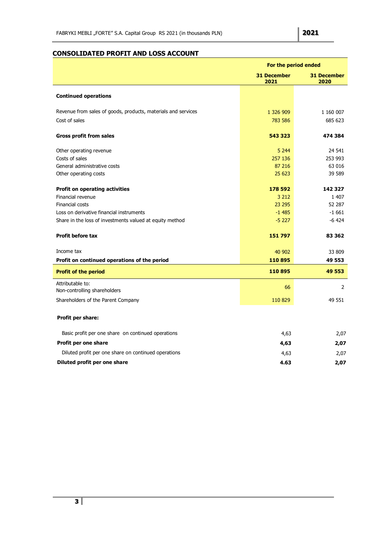# <span id="page-3-0"></span>**CONSOLIDATED PROFIT AND LOSS ACCOUNT**

|                                                               | For the period ended       |                            |  |
|---------------------------------------------------------------|----------------------------|----------------------------|--|
|                                                               | <b>31 December</b><br>2021 | <b>31 December</b><br>2020 |  |
| <b>Continued operations</b>                                   |                            |                            |  |
| Revenue from sales of goods, products, materials and services | 1 326 909                  | 1 160 007                  |  |
| Cost of sales                                                 | 783 586                    | 685 623                    |  |
| <b>Gross profit from sales</b>                                | 543 323                    | 474 384                    |  |
| Other operating revenue                                       | 5 2 4 4                    | 24 541                     |  |
| Costs of sales                                                | 257 136                    | 253 993                    |  |
| General administrative costs                                  | 87 216                     | 63 016                     |  |
| Other operating costs                                         | 25 623                     | 39 589                     |  |
| <b>Profit on operating activities</b>                         | 178 592                    | 142 327                    |  |
| Financial revenue                                             | 3 2 1 2                    | 1 407                      |  |
| Financial costs                                               | 23 295                     | 52 287                     |  |
| Loss on derivative financial instruments                      | $-1485$                    | $-1661$                    |  |
| Share in the loss of investments valued at equity method      | $-5227$                    | $-6424$                    |  |
| <b>Profit before tax</b>                                      | 151797                     | 83 362                     |  |
| Income tax                                                    | 40 902                     | 33 809                     |  |
| Profit on continued operations of the period                  | 110895                     | 49 553                     |  |
| <b>Profit of the period</b>                                   | 110895                     | 49 553                     |  |
| Attributable to:<br>Non-controlling shareholders              | 66                         | $\overline{2}$             |  |
|                                                               |                            |                            |  |
| Shareholders of the Parent Company                            | 110 829                    | 49 551                     |  |
| Profit per share:                                             |                            |                            |  |
| Basic profit per one share on continued operations            | 4,63                       | 2,07                       |  |
| Profit per one share                                          | 4,63                       | 2,07                       |  |
| Diluted profit per one share on continued operations          | 4,63                       | 2,07                       |  |
| Diluted profit per one share                                  | 4.63                       | 2,07                       |  |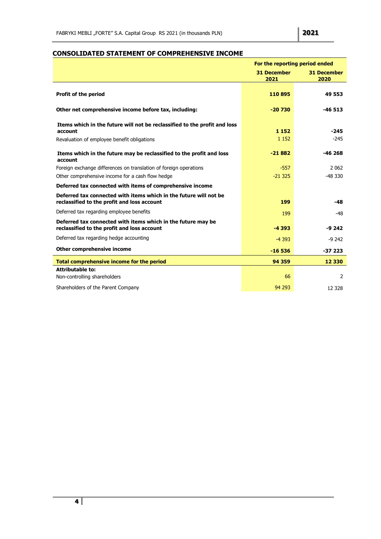# <span id="page-4-0"></span>**CONSOLIDATED STATEMENT OF COMPREHENSIVE INCOME**

|                                                                                                                                     | For the reporting period ended |                            |
|-------------------------------------------------------------------------------------------------------------------------------------|--------------------------------|----------------------------|
|                                                                                                                                     | <b>31 December</b><br>2021     | <b>31 December</b><br>2020 |
| <b>Profit of the period</b>                                                                                                         | 110895                         | 49 553                     |
| Other net comprehensive income before tax, including:                                                                               | $-20730$                       | $-46513$                   |
| Items which in the future will not be reclassified to the profit and loss<br>account<br>Revaluation of employee benefit obligations | 1 1 5 2<br>1 1 5 2             | $-245$<br>$-245$           |
| Items which in the future may be reclassified to the profit and loss<br>account                                                     | $-21882$                       | $-46268$                   |
| Foreign exchange differences on translation of foreign operations                                                                   | $-557$                         | 2062                       |
| Other comprehensive income for a cash flow hedge                                                                                    | $-21325$                       | $-48330$                   |
| Deferred tax connected with items of comprehensive income                                                                           |                                |                            |
| Deferred tax connected with items which in the future will not be<br>reclassified to the profit and loss account                    | 199                            | $-48$                      |
| Deferred tax regarding employee benefits                                                                                            | 199                            | $-48$                      |
| Deferred tax connected with items which in the future may be<br>reclassified to the profit and loss account                         | $-4393$                        | $-9242$                    |
| Deferred tax regarding hedge accounting                                                                                             | $-4393$                        | $-9242$                    |
| Other comprehensive income                                                                                                          | $-16536$                       | $-37223$                   |
| Total comprehensive income for the period                                                                                           | 94 359                         | 12 3 30                    |
| <b>Attributable to:</b><br>Non-controlling shareholders                                                                             | 66                             | $\overline{2}$             |
| Shareholders of the Parent Company                                                                                                  | 94 293                         | 12 3 28                    |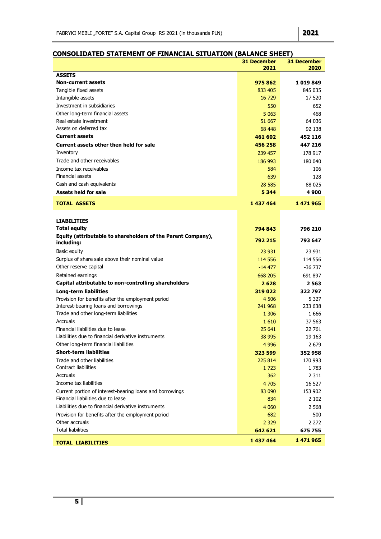|                                                                                                | <b>31 December</b> | <b>31 December</b> |
|------------------------------------------------------------------------------------------------|--------------------|--------------------|
| <b>ASSETS</b>                                                                                  | 2021               | 2020               |
| <b>Non-current assets</b>                                                                      | 975862             | 1019849            |
| Tangible fixed assets                                                                          | 833 405            | 845 035            |
| Intangible assets                                                                              | 16 729             | 17 520             |
| Investment in subsidiaries                                                                     | 550                | 652                |
| Other long-term financial assets                                                               | 5 0 63             | 468                |
| Real estate investment                                                                         | 51 667             | 64 036             |
| Assets on deferred tax                                                                         | 68 448             | 92 138             |
| <b>Current assets</b>                                                                          | 461 602            | 452 116            |
| Current assets other then held for sale                                                        | 456 258            | 447 216            |
| Inventory                                                                                      | 239 457            | 178 917            |
| Trade and other receivables                                                                    | 186 993            | 180 040            |
| Income tax receivables                                                                         | 584                | 106                |
| Financial assets                                                                               | 639                | 128                |
| Cash and cash equivalents                                                                      | 28 5 85            | 88 0 25            |
| <b>Assets held for sale</b>                                                                    | 5 3 4 4            | 4 9 0 0            |
| <b>TOTAL ASSETS</b>                                                                            | 1 437 464          | 1 471 965          |
|                                                                                                |                    |                    |
| <b>LIABILITIES</b>                                                                             |                    |                    |
| <b>Total equity</b>                                                                            | 794 843            | 796 210            |
| Equity (attributable to shareholders of the Parent Company),<br>including:                     | 792 215            | 793 647            |
| Basic equity                                                                                   | 23 931             | 23 931             |
| Surplus of share sale above their nominal value                                                | 114 556            | 114 556            |
| Other reserve capital                                                                          | $-14477$           | -36 737            |
| Retained earnings                                                                              | 668 205            | 691 897            |
| Capital attributable to non-controlling shareholders                                           | 2628               | 2563               |
| <b>Long-term liabilities</b>                                                                   | 319 022            | 322797             |
| Provision for benefits after the employment period                                             | 4 5 0 6            | 5 3 2 7            |
| Interest-bearing loans and borrowings                                                          | 241 968            | 233 638            |
| Trade and other long-term liabilities                                                          | 1 3 0 6            | 1666               |
| Accruals                                                                                       | 1610               | 37 563             |
| Financial liabilities due to lease                                                             | 25 641             | 22 761             |
| Liabilities due to financial derivative instruments                                            | 38 995             | 19 163             |
| Other long-term financial liabilities                                                          | 4 9 9 6            | 2 6 7 9            |
| <b>Short-term liabilities</b>                                                                  | 323 599            | 352 958            |
| Trade and other liabilities                                                                    | 225 814            | 170 993            |
| <b>Contract liabilities</b>                                                                    | 1 7 2 3            | 1783               |
| Accruals                                                                                       | 362                | 2 3 1 1            |
| Income tax liabilities                                                                         | 4 7 0 5            | 16 527             |
| Current portion of interest-bearing loans and borrowings<br>Financial liabilities due to lease | 83 090             | 153 902            |
| Liabilities due to financial derivative instruments                                            | 834                | 2 1 0 2            |
| Provision for benefits after the employment period                                             | 4 0 6 0<br>682     | 2 5 6 8<br>500     |
| Other accruals                                                                                 | 2 3 2 9            | 2 272              |
| Total liabilities                                                                              | 642 621            | 675755             |
|                                                                                                |                    |                    |
| <b>TOTAL LIABILITIES</b>                                                                       | 1 437 464          | 1 471 965          |

### <span id="page-5-0"></span>**CONSOLIDATED STATEMENT OF FINANCIAL SITUATION (BALANCE SHEET)**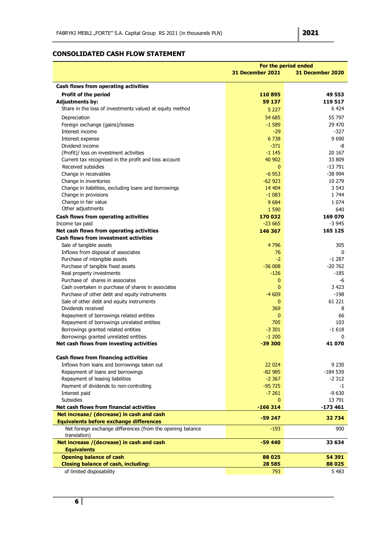## <span id="page-6-0"></span>**CONSOLIDATED CASH FLOW STATEMENT**

|                                                            | For the period ended |                  |  |
|------------------------------------------------------------|----------------------|------------------|--|
|                                                            | 31 December 2021     | 31 December 2020 |  |
|                                                            |                      |                  |  |
| Cash flows from operating activities                       |                      |                  |  |
| <b>Profit of the period</b>                                | 110895               | 49 553           |  |
| <b>Adjustments by:</b>                                     | 59 137               | 119 517          |  |
| Share in the loss of investments valued at equity method   | 5 2 2 7              | 6 4 24           |  |
| Depreciation                                               | 54 685               | 55 797           |  |
| Foreign exchange (gains)/losses                            | $-1589$              | 29 470           |  |
| Interest income                                            | $-29$                | $-327$           |  |
| Interest expense                                           | 6738                 | 9 6 9 0          |  |
| Dividend income                                            | $-371$               | -8               |  |
| (Profit)/ loss on investment activities                    | $-1145$              | 20 167           |  |
| Current tax recognised in the profit and loss account      | 40 902               | 33 809           |  |
| Received subsidies                                         | $\mathbf{0}$         | -13 791          |  |
| Change in receivables                                      | $-6953$              | -38 994          |  |
| Change in inventories                                      | $-62923$             | 10 279           |  |
| Change in liabilities, excluding loans and borrowings      | 14 4 04              | 3 5 4 3          |  |
| Change in provisions                                       | $-1083$              | 1 744            |  |
| Change in fair value                                       | 9684                 | 1 0 7 4          |  |
| Other adjustments                                          | 1 5 9 0              | 640              |  |
| Cash flows from operating activities                       | 170 032              | 169 070          |  |
| Income tax paid                                            | $-23665$             | $-3945$          |  |
| Net cash flows from operating activities                   | 146 367              | 165 125          |  |
| <b>Cash flows from investment activities</b>               |                      |                  |  |
| Sale of tangible assets                                    | 4796                 | 305              |  |
| Inflows from disposal of associates                        | 76                   | $\Omega$         |  |
| Purchase of intangible assets                              | $-2$                 | $-1287$          |  |
| Purchase of tangible fixed assets                          | $-36008$             | $-20762$         |  |
| Real property investments                                  | $-126$               | -185             |  |
| Purchase of shares in associates                           | $\mathbf{0}$         | -6               |  |
| Cash overtaken in purchase of shares in associates         | $\mathbf{0}$         | 3 4 2 3          |  |
| Purchase of other debt and equity instruments              | $-4609$              | -198             |  |
| Sale of other debt and equity instruments                  | $\mathbf{0}$         | 61 221           |  |
| Dividends received                                         | 369                  | 8                |  |
| Repayment of borrowings related entities                   | $\mathbf{0}$         | 66               |  |
| Repayment of borrowings unrelated entities                 | 705                  | 103              |  |
| Borrowings granted related entities                        | $-3301$              | $-1618$          |  |
| Borrowings granted unrelated entities                      | $-1200$              | 0                |  |
| Net cash flows from investing activities                   | $-39300$             | 41 070           |  |
|                                                            |                      |                  |  |
| <b>Cash flows from financing activities</b>                |                      |                  |  |
| Inflows from loans and borrowings taken out                | 22 0 24              | 9 2 3 0          |  |
| Repayment of loans and borrowings                          | $-82985$             | $-184539$        |  |
| Repayment of leasing liabilities                           | $-2.367$             | $-2312$          |  |
| Payment of dividends to non-controlling                    | $-95725$             | $-1$             |  |
| Interest paid                                              | $-7261$              | $-9630$          |  |
| <b>Subsidies</b>                                           | $\mathbf{0}$         | 13791            |  |
| Net cash flows from financial activities                   | $-166314$            | $-173461$        |  |
| Net increase/ (decrease) in cash and cash                  | $-59247$             | 32734            |  |
| <b>Equivalents before exchange differences</b>             |                      |                  |  |
| Net foreign exchange differences (from the opening balance | $-193$               | 900              |  |
| translation)                                               | $-59440$             | 33 634           |  |
| Net increase /(decrease) in cash and cash                  |                      |                  |  |
| <b>Equivalents</b><br><b>Opening balance of cash</b>       | 88 0 25              | 54 391           |  |
| <b>Closing balance of cash, including:</b>                 | 28 5 85              | 88 0 25          |  |
| of limited disposability                                   | 793                  | 5 4 8 3          |  |
|                                                            |                      |                  |  |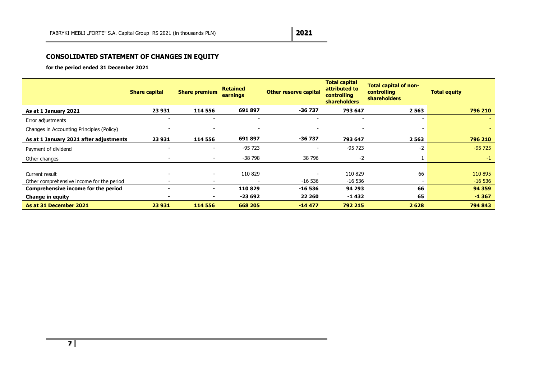## **CONSOLIDATED STATEMENT OF CHANGES IN EQUITY**

**for the period ended 31 December 2021**

<span id="page-7-0"></span>

|                                           | <b>Share capital</b>     | <b>Share premium</b>     | <b>Retained</b><br>earnings | <b>Other reserve capital</b> | <b>Total capital</b><br>attributed to<br>controlling<br><b>shareholders</b> | <b>Total capital of non-</b><br>controlling<br><b>shareholders</b> | <b>Total equity</b> |
|-------------------------------------------|--------------------------|--------------------------|-----------------------------|------------------------------|-----------------------------------------------------------------------------|--------------------------------------------------------------------|---------------------|
| As at 1 January 2021                      | 23 931                   | 114 556                  | 691897                      | -36 737                      | 793 647                                                                     | 2563                                                               | 796 210             |
| Error adjustments                         |                          |                          |                             |                              |                                                                             |                                                                    |                     |
| Changes in Accounting Principles (Policy) | $\overline{\phantom{a}}$ | $\overline{\phantom{a}}$ | $\overline{\phantom{a}}$    | $\overline{\phantom{a}}$     | $\overline{\phantom{0}}$                                                    | $\overline{\phantom{a}}$                                           |                     |
| As at 1 January 2021 after adjustments    | 23 931                   | 114 556                  | 691897                      | $-36737$                     | 793 647                                                                     | 2563                                                               | 796 210             |
| Payment of dividend                       |                          | $\blacksquare$           | $-95723$                    | $\sim$                       | $-95723$                                                                    | $-2$                                                               | $-95725$            |
| Other changes                             | $\overline{\phantom{a}}$ | $\sim$                   | -38 798                     | 38 796                       | $-2$                                                                        |                                                                    | $-1$                |
|                                           |                          |                          |                             |                              |                                                                             |                                                                    |                     |
| Current result                            | $\sim$                   | $\blacksquare$           | 110 829                     | $\overline{\phantom{0}}$     | 110 829                                                                     | 66                                                                 | 110 895             |
| Other comprehensive income for the period |                          | $\overline{\phantom{0}}$ | $\overline{\phantom{a}}$    | $-16536$                     | -16 536                                                                     | $\overline{\phantom{a}}$                                           | $-16536$            |
| Comprehensive income for the period       |                          | ٠                        | 110829                      | -16 536                      | 94 293                                                                      | 66                                                                 | 94 359              |
| <b>Change in equity</b>                   |                          | ۰.                       | $-23692$                    | 22 260                       | $-1432$                                                                     | 65                                                                 | $-1367$             |
| As at 31 December 2021                    | 23 931                   | 114 556                  | 668 205                     | $-14477$                     | 792 215                                                                     | 2628                                                               | 794 843             |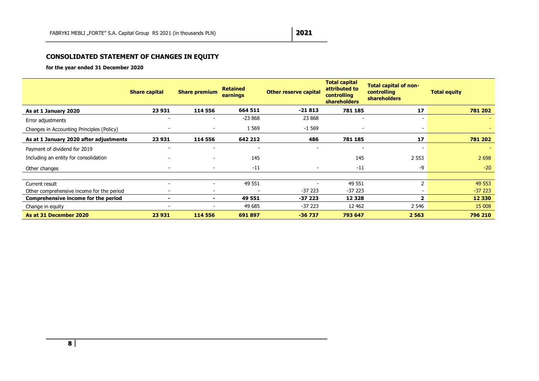## **CONSOLIDATED STATEMENT OF CHANGES IN EQUITY**

**for the year ended 31 December 2020**

<span id="page-8-0"></span>

|                                           | <b>Share capital</b>     | <b>Share premium</b>     | <b>Retained</b><br>earnings | <b>Other reserve capital</b> | <b>Total capital</b><br>attributed to<br>controlling<br><b>shareholders</b> | <b>Total capital of non-</b><br>controlling<br><b>shareholders</b> | <b>Total equity</b> |
|-------------------------------------------|--------------------------|--------------------------|-----------------------------|------------------------------|-----------------------------------------------------------------------------|--------------------------------------------------------------------|---------------------|
| As at 1 January 2020                      | 23 931                   | 114 556                  | 664 511                     | $-21813$                     | 781 185                                                                     | 17                                                                 | 781 202             |
| Error adjustments                         |                          |                          | $-23868$                    | 23 868                       |                                                                             |                                                                    |                     |
| Changes in Accounting Principles (Policy) | $\overline{\phantom{a}}$ | $\overline{\phantom{a}}$ | 1 5 6 9                     | $-1569$                      |                                                                             | $\overline{\phantom{a}}$                                           |                     |
| As at 1 January 2020 after adjustments    | 23 931                   | 114 556                  | 642 212                     | 486                          | 781 185                                                                     | 17                                                                 | 781 202             |
| Payment of dividend for 2019              |                          |                          |                             |                              |                                                                             |                                                                    |                     |
| Including an entity for consolidation     | $\overline{\phantom{a}}$ | $\overline{\phantom{a}}$ | 145                         |                              | 145                                                                         | 2 5 5 3                                                            | 2 6 9 8             |
| Other changes                             | $\overline{\phantom{a}}$ | $\overline{\phantom{a}}$ | $-11$                       |                              | $-11$                                                                       | -9                                                                 | $-20$               |
|                                           |                          |                          |                             |                              |                                                                             |                                                                    |                     |
| Current result                            |                          | $\overline{\phantom{a}}$ | 49 551                      |                              | 49 551                                                                      | $\overline{2}$                                                     | 49 553              |
| Other comprehensive income for the period | $\overline{\phantom{a}}$ | $\overline{\phantom{0}}$ |                             | $-37223$                     | $-37223$                                                                    |                                                                    | $-37223$            |
| Comprehensive income for the period       | $\blacksquare$           | ۰                        | 49 551                      | $-37223$                     | 12 3 28                                                                     | $\mathbf{2}$                                                       | 12 3 30             |
| Change in equity                          |                          |                          | 49 685                      | $-37223$                     | 12 4 62                                                                     | 2 5 4 6                                                            | 15 008              |
| As at 31 December 2020                    | 23 931                   | 114 556                  | 691897                      | $-36737$                     | 793 647                                                                     | 2 5 6 3                                                            | 796 210             |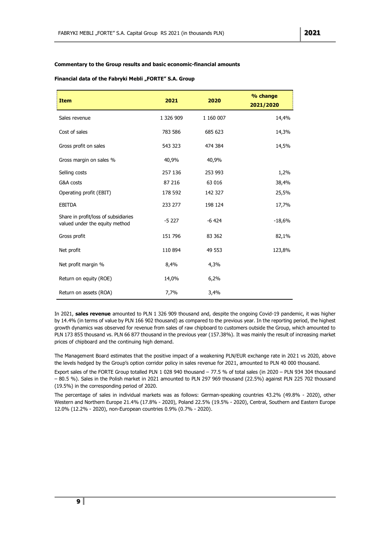### <span id="page-9-0"></span>**Commentary to the Group results and basic economic-financial amounts**

#### <span id="page-9-1"></span>Financial data of the Fabryki Mebli "FORTE" S.A. Group

| <b>Item</b>                                                            | 2021      | 2020      | % change<br>2021/2020 |
|------------------------------------------------------------------------|-----------|-----------|-----------------------|
| Sales revenue                                                          | 1 326 909 | 1 160 007 | 14,4%                 |
| Cost of sales                                                          | 783 586   | 685 623   | 14,3%                 |
| Gross profit on sales                                                  | 543 323   | 474 384   | 14,5%                 |
| Gross margin on sales %                                                | 40,9%     | 40,9%     |                       |
| Selling costs                                                          | 257 136   | 253 993   | 1,2%                  |
| G&A costs                                                              | 87 216    | 63 016    | 38,4%                 |
| Operating profit (EBIT)                                                | 178 592   | 142 327   | 25,5%                 |
| <b>EBITDA</b>                                                          | 233 277   | 198 124   | 17,7%                 |
| Share in profit/loss of subsidiaries<br>valued under the equity method | $-5227$   | $-6424$   | $-18,6%$              |
| Gross profit                                                           | 151 796   | 83 362    | 82,1%                 |
| Net profit                                                             | 110 894   | 49 553    | 123,8%                |
| Net profit margin %                                                    | 8,4%      | 4,3%      |                       |
| Return on equity (ROE)                                                 | 14,0%     | 6,2%      |                       |
| Return on assets (ROA)                                                 | 7,7%      | 3,4%      |                       |

In 2021, **sales revenue** amounted to PLN 1 326 909 thousand and, despite the ongoing Covid-19 pandemic, it was higher by 14.4% (in terms of value by PLN 166 902 thousand) as compared to the previous year. In the reporting period, the highest growth dynamics was observed for revenue from sales of raw chipboard to customers outside the Group, which amounted to PLN 173 855 thousand vs. PLN 66 877 thousand in the previous year (157.38%). It was mainly the result of increasing market prices of chipboard and the continuing high demand.

The Management Board estimates that the positive impact of a weakening PLN/EUR exchange rate in 2021 vs 2020, above the levels hedged by the Group's option corridor policy in sales revenue for 2021, amounted to PLN 40 000 thousand.

Export sales of the FORTE Group totalled PLN 1 028 940 thousand – 77.5 % of total sales (in 2020 – PLN 934 304 thousand – 80.5 %). Sales in the Polish market in 2021 amounted to PLN 297 969 thousand (22.5%) against PLN 225 702 thousand (19.5%) in the corresponding period of 2020.

The percentage of sales in individual markets was as follows: German-speaking countries 43.2% (49.8% - 2020), other Western and Northern Europe 21.4% (17.8% - 2020), Poland 22.5% (19.5% - 2020), Central, Southern and Eastern Europe 12.0% (12.2% - 2020), non-European countries 0.9% (0.7% - 2020).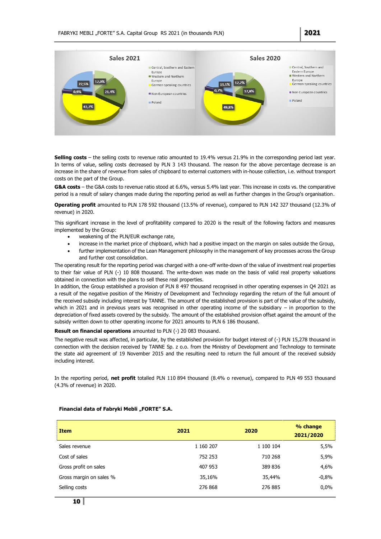

<span id="page-10-0"></span>**Selling costs** – the selling costs to revenue ratio amounted to 19.4% versus 21.9% in the corresponding period last year. In terms of value, selling costs decreased by PLN 3 143 thousand. The reason for the above percentage decrease is an increase in the share of revenue from sales of chipboard to external customers with in-house collection, i.e. without transport costs on the part of the Group.

**G&A costs** – the G&A costs to revenue ratio stood at 6.6%, versus 5.4% last year. This increase in costs vs. the comparative period is a result of salary changes made during the reporting period as well as further changes in the Group's organisation.

**Operating profit** amounted to PLN 178 592 thousand (13.5% of revenue), compared to PLN 142 327 thousand (12.3% of revenue) in 2020.

This significant increase in the level of profitability compared to 2020 is the result of the following factors and measures implemented by the Group:

- weakening of the PLN/EUR exchange rate,
- increase in the market price of chipboard, which had a positive impact on the margin on sales outside the Group,
- further implementation of the Lean Management philosophy in the management of key processes across the Group and further cost consolidation.

The operating result for the reporting period was charged with a one-off write-down of the value of investment real properties to their fair value of PLN (-) 10 808 thousand. The write-down was made on the basis of valid real property valuations obtained in connection with the plans to sell these real properties.

In addition, the Group established a provision of PLN 8 497 thousand recognised in other operating expenses in Q4 2021 as a result of the negative position of the Ministry of Development and Technology regarding the return of the full amount of the received subsidy including interest by TANNE. The amount of the established provision is part of the value of the subsidy, which in 2021 and in previous years was recognised in other operating income of the subsidiary – in proportion to the depreciation of fixed assets covered by the subsidy. The amount of the established provision offset against the amount of the subsidy written down to other operating income for 2021 amounts to PLN 6 186 thousand.

**Result on financial operations** amounted to PLN (-) 20 083 thousand.

The negative result was affected, in particular, by the established provision for budget interest of (-) PLN 15,278 thousand in connection with the decision received by TANNE Sp. z o.o. from the Ministry of Development and Technology to terminate the state aid agreement of 19 November 2015 and the resulting need to return the full amount of the received subsidy including interest.

In the reporting period, **net profit** totalled PLN 110 894 thousand (8.4% o revenue), compared to PLN 49 553 thousand (4.3% of revenue) in 2020.

| <b>Item</b>             | 2021      | 2020      | % change<br>2021/2020 |
|-------------------------|-----------|-----------|-----------------------|
| Sales revenue           | 1 160 207 | 1 100 104 | 5,5%                  |
| Cost of sales           | 752 253   | 710 268   | 5,9%                  |
| Gross profit on sales   | 407 953   | 389 836   | 4,6%                  |
| Gross margin on sales % | 35,16%    | 35,44%    | $-0.8%$               |
| Selling costs           | 276 868   | 276 885   | $0.0\%$               |

#### **Financial data of Fabryki Mebli "FORTE" S.A.**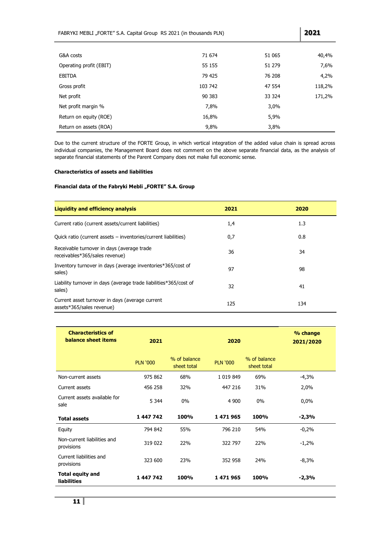| G&A costs               | 71 674  | 51 065 | 40,4%  |
|-------------------------|---------|--------|--------|
| Operating profit (EBIT) | 55 155  | 51 279 | 7,6%   |
| <b>EBITDA</b>           | 79 425  | 76 208 | 4,2%   |
| Gross profit            | 103 742 | 47 554 | 118,2% |
| Net profit              | 90 383  | 33 324 | 171,2% |
| Net profit margin %     | 7,8%    | 3,0%   |        |
| Return on equity (ROE)  | 16,8%   | 5,9%   |        |
| Return on assets (ROA)  | 9,8%    | 3,8%   |        |

FABRYKI MEBLI "FORTE" S.A. Capital Group RS 2021 (in thousands PLN) **2021** 

Due to the current structure of the FORTE Group, in which vertical integration of the added value chain is spread across individual companies, the Management Board does not comment on the above separate financial data, as the analysis of separate financial statements of the Parent Company does not make full economic sense.

### <span id="page-11-0"></span>**Characteristics of assets and liabilities**

### Financial data of the Fabryki Mebli "FORTE" S.A. Group

| <b>Liquidity and efficiency analysis</b>                                     | 2021 | 2020 |
|------------------------------------------------------------------------------|------|------|
| Current ratio (current assets/current liabilities)                           | 1,4  | 1.3  |
| Quick ratio (current assets – inventories/current liabilities)               | 0,7  | 0.8  |
| Receivable turnover in days (average trade<br>receivables*365/sales revenue) | 36   | 34   |
| Inventory turnover in days (average inventories*365/cost of<br>sales)        | 97   | 98   |
| Liability turnover in days (average trade liabilities*365/cost of<br>sales)  | 32   | 41   |
| Current asset turnover in days (average current<br>assets*365/sales revenue) | 125  | 134  |

| <b>Characteristics of</b><br>balance sheet items | 2021            |                             | 2020            |                             | % change<br>2021/2020 |
|--------------------------------------------------|-----------------|-----------------------------|-----------------|-----------------------------|-----------------------|
|                                                  | <b>PLN '000</b> | % of balance<br>sheet total | <b>PLN '000</b> | % of balance<br>sheet total |                       |
| Non-current assets                               | 975 862         | 68%                         | 1 0 19 8 49     | 69%                         | $-4,3%$               |
| Current assets                                   | 456 258         | 32%                         | 447 216         | 31%                         | 2,0%                  |
| Current assets available for<br>sale             | 5 3 4 4         | $0\%$                       | 4 900           | $0\%$                       | 0,0%                  |
| <b>Total assets</b>                              | 1 447 742       | 100%                        | 1471965         | 100%                        | $-2,3%$               |
| Equity                                           | 794 842         | 55%                         | 796 210         | 54%                         | $-0,2%$               |
| Non-current liabilities and<br>provisions        | 319 022         | 22%                         | 322 797         | 22%                         | $-1,2%$               |
| Current liabilities and<br>provisions            | 323 600         | 23%                         | 352 958         | 24%                         | $-8,3%$               |
| <b>Total equity and</b><br><b>liabilities</b>    | 1 447 742       | 100%                        | 1471965         | 100%                        | $-2,3%$               |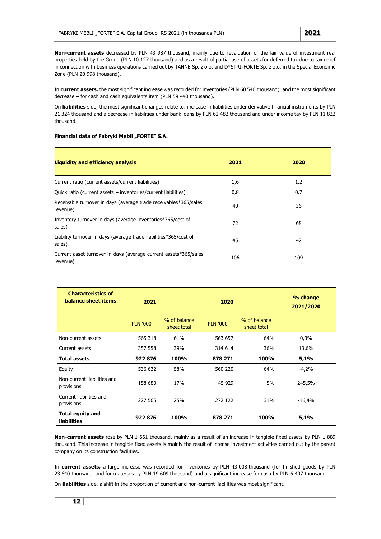<span id="page-12-0"></span>**Non-current assets** decreased by PLN 43 987 thousand, mainly due to revaluation of the fair value of investment real properties held by the Group (PLN 10 127 thousand) and as a result of partial use of assets for deferred tax due to tax relief in connection with business operations carried out by TANNE Sp. z o.o. and DYSTRI-FORTE Sp. z o.o. in the Special Economic Zone (PLN 20 998 thousand).

In **current assets,** the most significant increase was recorded for inventories (PLN 60 540 thousand), and the most significant decrease – for cash and cash equivalents item (PLN 59 440 thousand).

On **liabilities** side, the most significant changes relate to: increase in liabilities under derivative financial instruments by PLN 21 324 thousand and a decrease in liabilities under bank loans by PLN 62 482 thousand and under income tax by PLN 11 822 thousand.

### **Financial data of Fabryki Mebli "FORTE" S.A.**

| <b>Liquidity and efficiency analysis</b>                                     | 2021 | 2020 |
|------------------------------------------------------------------------------|------|------|
| Current ratio (current assets/current liabilities)                           | 1,6  | 1.2  |
| Quick ratio (current assets – inventories/current liabilities)               | 0,8  | 0.7  |
| Receivable turnover in days (average trade receivables*365/sales<br>revenue) | 40   | 36   |
| Inventory turnover in days (average inventories*365/cost of<br>sales)        | 72   | 68   |
| Liability turnover in days (average trade liabilities*365/cost of<br>sales)  | 45   | 47   |
| Current asset turnover in days (average current assets*365/sales<br>revenue) | 106  | 109  |

| <b>Characteristics of</b><br>balance sheet items | 2021            |                             | 2020            |                             | % change<br>2021/2020 |
|--------------------------------------------------|-----------------|-----------------------------|-----------------|-----------------------------|-----------------------|
|                                                  | <b>PLN '000</b> | % of balance<br>sheet total | <b>PLN '000</b> | % of balance<br>sheet total |                       |
| Non-current assets                               | 565 318         | 61%                         | 563 657         | 64%                         | 0,3%                  |
| Current assets                                   | 357 558         | 39%                         | 314 614         | 36%                         | 13,6%                 |
| <b>Total assets</b>                              | 922876          | 100%                        | 878 271         | 100%                        | 5,1%                  |
| Equity                                           | 536 632         | 58%                         | 560 220         | 64%                         | $-4,2%$               |
| Non-current liabilities and<br>provisions        | 158 680         | 17 <sub>%</sub>             | 45 929          | 5%                          | 245,5%                |
| Current liabilities and<br>provisions            | 227 565         | 25%                         | 272 122         | 31%                         | $-16,4%$              |
| <b>Total equity and</b><br><b>liabilities</b>    | 922876          | 100%                        | 878 271         | 100%                        | 5,1%                  |

<span id="page-12-1"></span>**Non-current assets** rose by PLN 1 661 thousand, mainly as a result of an increase in tangible fixed assets by PLN 1 889 thousand. This increase in tangible fixed assets is mainly the result of intense investment activities carried out by the parent company on its construction facilities.

In **current assets,** a large increase was recorded for inventories by PLN 43 008 thousand (for finished goods by PLN 23 640 thousand, and for materials by PLN 19 609 thousand) and a significant increase for cash by PLN 6 407 thousand.

On **liabilities** side, a shift in the proportion of current and non-current liabilities was most significant.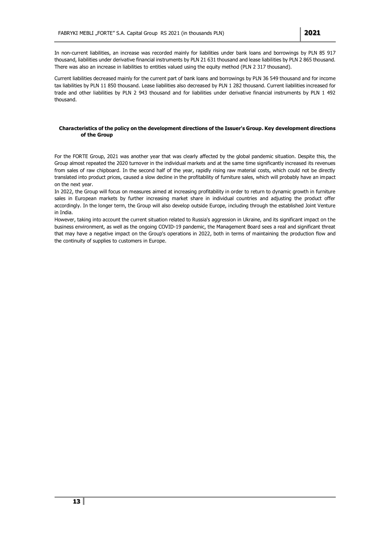In non-current liabilities, an increase was recorded mainly for liabilities under bank loans and borrowings by PLN 85 917 thousand, liabilities under derivative financial instruments by PLN 21 631 thousand and lease liabilities by PLN 2 865 thousand. There was also an increase in liabilities to entities valued using the equity method (PLN 2 317 thousand).

Current liabilities decreased mainly for the current part of bank loans and borrowings by PLN 36 549 thousand and for income tax liabilities by PLN 11 850 thousand. Lease liabilities also decreased by PLN 1 282 thousand. Current liabilities increased for trade and other liabilities by PLN 2 943 thousand and for liabilities under derivative financial instruments by PLN 1 492 thousand.

### **Characteristics of the policy on the development directions of the Issuer's Group. Key development directions of the Group**

For the FORTE Group, 2021 was another year that was clearly affected by the global pandemic situation. Despite this, the Group almost repeated the 2020 turnover in the individual markets and at the same time significantly increased its revenues from sales of raw chipboard. In the second half of the year, rapidly rising raw material costs, which could not be directly translated into product prices, caused a slow decline in the profitability of furniture sales, which will probably have an impact on the next year.

In 2022, the Group will focus on measures aimed at increasing profitability in order to return to dynamic growth in furniture sales in European markets by further increasing market share in individual countries and adjusting the product offer accordingly. In the longer term, the Group will also develop outside Europe, including through the established Joint Venture in India.

However, taking into account the current situation related to Russia's aggression in Ukraine, and its significant impact on the business environment, as well as the ongoing COVID-19 pandemic, the Management Board sees a real and significant threat that may have a negative impact on the Group's operations in 2022, both in terms of maintaining the production flow and the continuity of supplies to customers in Europe.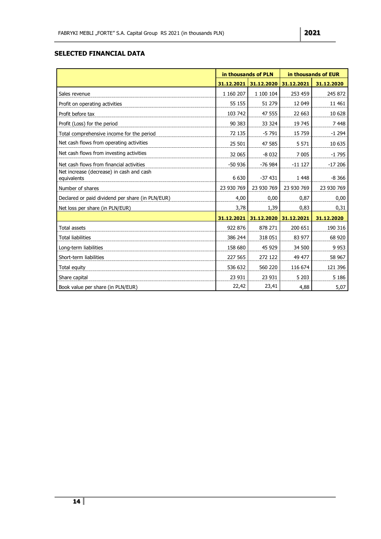# **SELECTED FINANCIAL DATA**

|                                                         | in thousands of PLN |            | in thousands of EUR |            |  |
|---------------------------------------------------------|---------------------|------------|---------------------|------------|--|
|                                                         | 31.12.2021          | 31.12.2020 | 31.12.2021          | 31.12.2020 |  |
| Sales revenue                                           | 1 160 207           | 1 100 104  | 253 459             | 245 872    |  |
| Profit on operating activities                          | 55 155              | 51 279     | 12 049              | 11 461     |  |
| Profit before tax                                       | 103 742             | 47 555     | 22 663              | 10 628     |  |
| Profit (Loss) for the period                            | 90 383              | 33 324     | 19 745              | 7448       |  |
| Total comprehensive income for the period               | 72 135              | $-5791$    | 15 7 59             | $-1294$    |  |
| Net cash flows from operating activities                | 25 501              | 47 585     | 5 5 7 1             | 10 635     |  |
| Net cash flows from investing activities                | 32 065              | $-8032$    | 7 0 0 5             | $-1795$    |  |
| Net cash flows from financial activities                | $-50936$            | $-76984$   | $-11127$            | $-17206$   |  |
| Net increase (decrease) in cash and cash<br>equivalents | 6 6 3 0             | $-37431$   | 1 4 4 8             | $-8,366$   |  |
| Number of shares                                        | 23 930 769          | 23 930 769 | 23 930 769          | 23 930 769 |  |
| Declared or paid dividend per share (in PLN/EUR)        | 4,00                | 0,00       | 0,87                | 0,00       |  |
| Net loss per share (in PLN/EUR)                         | 3,78                | 1,39       | 0,83                | 0,31       |  |
|                                                         | 31.12.2021          | 31.12.2020 | 31.12.2021          | 31.12.2020 |  |
| <b>Total assets</b>                                     | 922 876             | 878 271    | 200 651             | 190 316    |  |
| <b>Total liabilities</b>                                | 386 244             | 318 051    | 83 977              | 68 920     |  |
| Long-term liabilities                                   | 158 680             | 45 929     | 34 500              | 9 9 5 3    |  |
| Short-term liabilities                                  | 227 565             | 272 122    | 49 477              | 58 967     |  |
| Total equity                                            | 536 632             | 560 220    | 116 674             | 121 396    |  |
| Share capital                                           | 23 931              | 23 931     | 5 2 0 3             | 5 1 8 6    |  |
| Book value per share (in PLN/EUR)                       | 22,42               | 23,41      | 4,88                | 5,07       |  |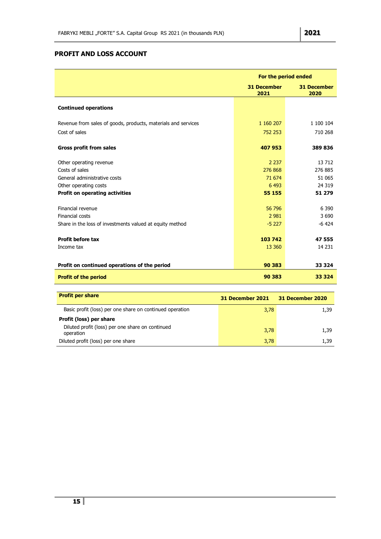# <span id="page-15-0"></span>**PROFIT AND LOSS ACCOUNT**

|                                                               |                            | For the period ended       |
|---------------------------------------------------------------|----------------------------|----------------------------|
|                                                               | <b>31 December</b><br>2021 | <b>31 December</b><br>2020 |
| <b>Continued operations</b>                                   |                            |                            |
| Revenue from sales of goods, products, materials and services | 1 160 207                  | 1 100 104                  |
| Cost of sales                                                 | 752 253                    | 710 268                    |
| <b>Gross profit from sales</b>                                | 407 953                    | 389 836                    |
| Other operating revenue                                       | 2 2 3 7                    | 13712                      |
| Costs of sales                                                | 276 868                    | 276 885                    |
| General administrative costs                                  | 71 674                     | 51 065                     |
| Other operating costs                                         | 6 4 9 3                    | 24 3 19                    |
| <b>Profit on operating activities</b>                         | 55 155                     | 51 279                     |
| Financial revenue                                             | 56 796                     | 6 3 9 0                    |
| Financial costs                                               | 2 9 8 1                    | 3 6 9 0                    |
| Share in the loss of investments valued at equity method      | $-5227$                    | $-6424$                    |
| <b>Profit before tax</b>                                      | 103 742                    | 47 555                     |
| Income tax                                                    | 13 3 60                    | 14 2 31                    |
| Profit on continued operations of the period                  | 90 383                     | 33 3 24                    |
| <b>Profit of the period</b>                                   | 90 383                     | 33 3 24                    |

| <b>Profit per share</b>                                       | <b>31 December 2021</b> | 31 December 2020 |
|---------------------------------------------------------------|-------------------------|------------------|
| Basic profit (loss) per one share on continued operation      | 3,78                    | 1,39             |
| Profit (loss) per share                                       |                         |                  |
| Diluted profit (loss) per one share on continued<br>operation | 3,78                    | 1,39             |
| Diluted profit (loss) per one share                           | 3,78                    | 1.39             |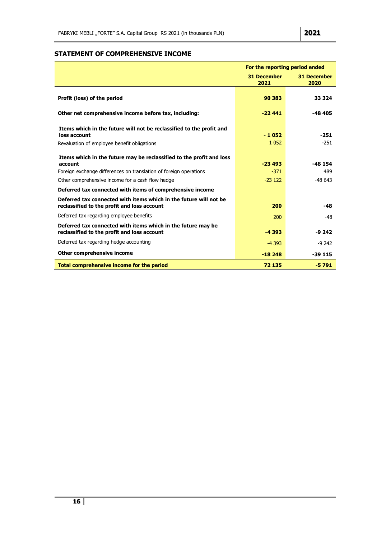## <span id="page-16-0"></span>**STATEMENT OF COMPREHENSIVE INCOME**

|                                                                                                                                                                                                          | For the reporting period ended |                             |
|----------------------------------------------------------------------------------------------------------------------------------------------------------------------------------------------------------|--------------------------------|-----------------------------|
|                                                                                                                                                                                                          | <b>31 December</b><br>2021     | <b>31 December</b><br>2020  |
| Profit (loss) of the period                                                                                                                                                                              | 90 383                         | 33 3 24                     |
| Other net comprehensive income before tax, including:                                                                                                                                                    | $-22441$                       | $-48405$                    |
| Items which in the future will not be reclassified to the profit and<br>loss account<br>Revaluation of employee benefit obligations                                                                      | $-1052$<br>1 0 5 2             | $-251$<br>$-251$            |
| Items which in the future may be reclassified to the profit and loss<br>account<br>Foreign exchange differences on translation of foreign operations<br>Other comprehensive income for a cash flow hedge | $-23493$<br>$-371$<br>$-23122$ | $-48154$<br>489<br>$-48643$ |
| Deferred tax connected with items of comprehensive income                                                                                                                                                |                                |                             |
| Deferred tax connected with items which in the future will not be<br>reclassified to the profit and loss account                                                                                         | 200                            | $-48$                       |
| Deferred tax regarding employee benefits                                                                                                                                                                 | 200                            | -48                         |
| Deferred tax connected with items which in the future may be<br>reclassified to the profit and loss account                                                                                              | $-4393$                        | $-9242$                     |
| Deferred tax regarding hedge accounting                                                                                                                                                                  | $-4393$                        | $-9242$                     |
| Other comprehensive income                                                                                                                                                                               | $-18248$                       | $-39115$                    |
| Total comprehensive income for the period                                                                                                                                                                | 72 135                         | $-5791$                     |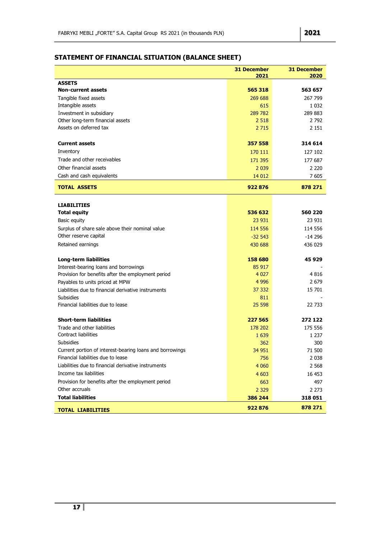# <span id="page-17-0"></span>**STATEMENT OF FINANCIAL SITUATION (BALANCE SHEET)**

|                                                          | <b>31 December</b><br>2021 | <b>31 December</b><br>2020 |
|----------------------------------------------------------|----------------------------|----------------------------|
| <b>ASSETS</b>                                            |                            |                            |
| <b>Non-current assets</b>                                | 565 318                    | 563 657                    |
| Tangible fixed assets                                    | 269 688                    | 267 799                    |
| Intangible assets                                        | 615                        | 1 0 3 2                    |
| Investment in subsidiary                                 | 289 782                    | 289 883                    |
| Other long-term financial assets                         | 2 5 18                     | 2 7 9 2                    |
| Assets on deferred tax                                   | 2 7 1 5                    | 2 1 5 1                    |
| <b>Current assets</b>                                    | 357 558                    | 314 614                    |
| Inventory                                                | 170 111                    | 127 102                    |
| Trade and other receivables                              | 171 395                    | 177 687                    |
| Other financial assets                                   | 2 0 3 9                    | 2 2 2 0                    |
| Cash and cash equivalents                                | 14 012                     | 7605                       |
| <b>TOTAL ASSETS</b>                                      | 922876                     | 878 271                    |
|                                                          |                            |                            |
| <b>LIABILITIES</b>                                       |                            |                            |
| <b>Total equity</b>                                      | 536 632                    | 560 220                    |
| Basic equity                                             | 23 931                     | 23 931                     |
| Surplus of share sale above their nominal value          | 114 556                    | 114 556                    |
| Other reserve capital                                    | $-32543$                   | $-14296$                   |
| Retained earnings                                        | 430 688                    | 436 029                    |
| <b>Long-term liabilities</b>                             | 158 680                    | 45929                      |
| Interest-bearing loans and borrowings                    | 85 917                     |                            |
| Provision for benefits after the employment period       | 4 0 2 7                    | 4816                       |
| Payables to units priced at MPW                          | 4 9 9 6                    | 2 679                      |
| Liabilities due to financial derivative instruments      | 37 332                     | 15 701                     |
| <b>Subsidies</b>                                         | 811                        |                            |
| Financial liabilities due to lease                       | 25 598                     | 22 733                     |
| <b>Short-term liabilities</b>                            | 227 565                    | 272 122                    |
| Trade and other liabilities                              | 178 202                    | 175 556                    |
| <b>Contract liabilities</b>                              | 1 6 3 9                    | 1 237                      |
| <b>Subsidies</b>                                         | 362                        | 300                        |
| Current portion of interest-bearing loans and borrowings | 34 951                     | 71 500                     |
| Financial liabilities due to lease                       | 756                        | 2 0 3 8                    |
| Liabilities due to financial derivative instruments      | 4 0 6 0                    | 2 5 6 8                    |
| Income tax liabilities                                   | 4 6 0 3                    | 16 453                     |
| Provision for benefits after the employment period       | 663                        | 497                        |
| Other accruals                                           | 2 3 2 9                    | 2 273                      |
| <b>Total liabilities</b>                                 | 386 244                    | 318 051                    |
| <b>TOTAL LIABILITIES</b>                                 | 922876                     | 878 271                    |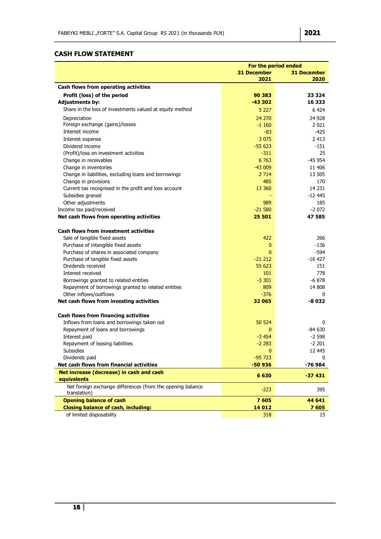# <span id="page-18-0"></span>**CASH FLOW STATEMENT**

|                                                                                               | For the period ended |                    |
|-----------------------------------------------------------------------------------------------|----------------------|--------------------|
|                                                                                               | <b>31 December</b>   | <b>31 December</b> |
|                                                                                               | 2021                 | 2020               |
| Cash flows from operating activities                                                          |                      |                    |
| Profit (loss) of the period                                                                   | 90 383               | 33 324             |
| <b>Adjustments by:</b>                                                                        | $-43302$             | 16 333             |
| Share in the loss of investments valued at equity method                                      | 5 2 2 7              | 6424               |
| Depreciation                                                                                  | 24 270               | 24 9 28            |
| Foreign exchange (gains)/losses                                                               | $-1160$              | 2021               |
| Interest income                                                                               | -83                  | -425               |
| Interest expense                                                                              | 3 0 7 5              | 2413               |
| Dividend income                                                                               | $-55623$             | -151               |
| (Profit)/loss on investment activities                                                        | $-311$               | 25                 |
| Change in receivables                                                                         | 6 7 6 3              | $-45954$           |
| Change in inventories                                                                         | $-43009$             | 11 406             |
| Change in liabilities, excluding loans and borrowings                                         | 2 7 1 4              | 13 505             |
| Change in provisions                                                                          | 485                  | 170                |
| Current tax recognised in the profit and loss account                                         | 13 3 60              | 14 2 31            |
| Subsidies graned                                                                              |                      | $-1245$            |
| Other adjustments                                                                             | 989                  | 185                |
| Income tax paid/received                                                                      | $-21580$             | $-2072$            |
| Net cash flows from operating activities                                                      | 25 501               | 47 585             |
| <b>Cash flows from investment activities</b>                                                  |                      |                    |
|                                                                                               | 422                  |                    |
| Sale of tangible fixed assets                                                                 |                      | 266<br>-136        |
| Purchase of intangible fixed assets                                                           | 0<br>$\mathbf{0}$    |                    |
| Purchase of shares in associated company                                                      | $-21212$             | -594<br>$-16427$   |
| Purchase of tangible fixed assets<br>Dividends received                                       | 55 623               | 151                |
| Interest received                                                                             | 101                  | 778                |
|                                                                                               | $-3301$              | $-6878$            |
| Borrowings granted to related entities<br>Repayment of borrowings granted to related entities | 809                  | 14 808             |
| Other inflows/outflows                                                                        | $-376$               | 0                  |
| Net cash flows from investing activities                                                      | 32 065               | -8 032             |
|                                                                                               |                      |                    |
| Cash flows from financing activities                                                          |                      |                    |
| Inflows from loans and borrowings taken out                                                   | 50 524               | 0                  |
| Repayment of loans and borrowings                                                             | 0                    | -84 630            |
| Interest paid                                                                                 | $-3454$              | $-2598$            |
| Repayment of leasing liabilities                                                              | $-2283$              | $-2201$            |
| Subsidies                                                                                     | $\mathbf{0}$         | 12 445             |
| Dividends paid                                                                                | $-95723$             | 0                  |
| Net cash flows from financial activities                                                      | $-50936$             | -76 984            |
| Net increase (decrease) in cash and cash                                                      | 6630                 | $-37431$           |
| equivalents<br>Net foreign exchange differences (from the opening balance                     |                      |                    |
| translation)                                                                                  | $-223$               | 395                |
| <b>Opening balance of cash</b>                                                                | 7605                 | 44 641             |
| <b>Closing balance of cash, including:</b>                                                    | 14 012               | 7605               |
| of limited disposability                                                                      | 318                  | 15                 |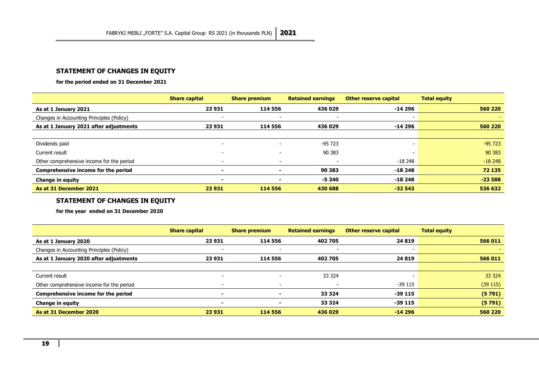## **STATEMENT OF CHANGES IN EQUITY**

**for the period ended on 31 December 2021**

|                                           | <b>Share capital</b>     | <b>Share premium</b>     | <b>Retained earnings</b> | <b>Other reserve capital</b> | <b>Total equity</b> |
|-------------------------------------------|--------------------------|--------------------------|--------------------------|------------------------------|---------------------|
| As at 1 January 2021                      | 23 931                   | 114 556                  | 436 029                  | -14 296                      | 560 220             |
| Changes in Accounting Principles (Policy) |                          |                          |                          |                              |                     |
| As at 1 January 2021 after adjustments    | 23 931                   | 114 556                  | 436 029                  | -14 296                      | 560 220             |
|                                           |                          |                          |                          |                              |                     |
| Dividends paid                            | $\overline{\phantom{0}}$ | $\sim$                   | -95 723                  |                              | $-95723$            |
| Current result                            | -                        | $\overline{\phantom{0}}$ | 90 383                   |                              | 90 383              |
| Other comprehensive income for the period |                          | -                        |                          | $-18248$                     | $-18248$            |
| Comprehensive income for the period       |                          | $\overline{\phantom{0}}$ | 90 383                   | $-18248$                     | 72 135              |
| Change in equity                          | $\overline{\phantom{0}}$ | $\overline{\phantom{0}}$ | $-5340$                  | $-18248$                     | $-23588$            |
| As at 31 December 2021                    | 23 931                   | 114 556                  | 430 688                  | $-32543$                     | 536 632             |

### **STATEMENT OF CHANGES IN EQUITY**

<span id="page-19-0"></span>**for the year ended on 31 December 2020**

|                                           | <b>Share capital</b>     | <b>Share premium</b> | <b>Retained earnings</b> | <b>Other reserve capital</b> | <b>Total equity</b> |
|-------------------------------------------|--------------------------|----------------------|--------------------------|------------------------------|---------------------|
| As at 1 January 2020                      | 23 931                   | 114 556              | 402 705                  | 24 8 19                      | 566 011             |
| Changes in Accounting Principles (Policy) |                          |                      | $\overline{\phantom{0}}$ |                              |                     |
| As at 1 January 2020 after adjustments    | 23 931                   | 114 556              | 402 705                  | 24 8 19                      | 566 011             |
|                                           |                          |                      |                          |                              |                     |
| Current result                            |                          |                      | 33 3 24                  |                              | 33 3 24             |
| Other comprehensive income for the period |                          |                      |                          | -39 115                      | (39115)             |
| Comprehensive income for the period       |                          |                      | 33 3 24                  | $-39115$                     | (5791)              |
| <b>Change in equity</b>                   | $\overline{\phantom{0}}$ | ۰                    | 33 3 24                  | -39 115                      | (5791)              |
| As at 31 December 2020                    | 23 931                   | 114 556              | 436 029                  | $-14296$                     | 560 220             |

<span id="page-19-1"></span>×.